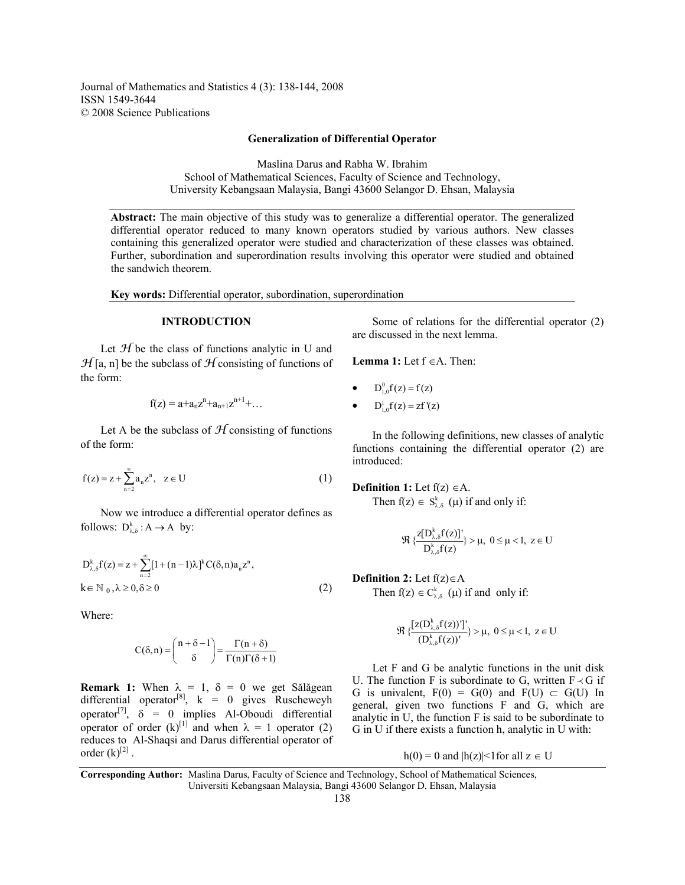Journal of Mathematics and Statistics 4 (3): 138-144, 2008 ISSN 1549-3644 © 2008 Science Publications

### **Generalization of Differential Operator**

Maslina Darus and Rabha W. Ibrahim School of Mathematical Sciences, Faculty of Science and Technology, University Kebangsaan Malaysia, Bangi 43600 Selangor D. Ehsan, Malaysia

**Abstract:** The main objective of this study was to generalize a differential operator. The generalized differential operator reduced to many known operators studied by various authors. New classes containing this generalized operator were studied and characterization of these classes was obtained. Further, subordination and superordination results involving this operator were studied and obtained the sandwich theorem.

**Key words:** Differential operator, subordination, superordination

### **INTRODUCTION**

Let  $H$  be the class of functions analytic in U and  $\mathcal{H}$ [a, n] be the subclass of  $\mathcal{H}$  consisting of functions of the form:

$$
f(z) = a + a_n z^n + a_{n+1} z^{n+1} + \dots
$$

Let A be the subclass of  $H$  consisting of functions of the form:

$$
f(z) = z + \sum_{n=2}^{\infty} a_n z^n
$$
,  $z \in U$  (1)

 Now we introduce a differential operator defines as follows:  $D_{\lambda,\delta}^k : A \to A$  by:

$$
D_{\lambda,\delta}^{k}f(z) = z + \sum_{n=2}^{\infty} [1 + (n-1)\lambda]^{k} C(\delta, n) a_{n} z^{n},
$$
  
\n $k \in \mathbb{N}_{0}, \lambda \ge 0, \delta \ge 0$  (2)

Where:

$$
C(\delta, n) = {n + \delta - 1 \choose \delta} = \frac{\Gamma(n + \delta)}{\Gamma(n)\Gamma(\delta + 1)}
$$

**Remark 1:** When  $\lambda = 1$ ,  $\delta = 0$  we get Sǎlǎgean differential operator<sup>[8]</sup>,  $k = 0$  gives Ruscheweyh operator<sup>[7]</sup>,  $\delta = 0$  implies Al-Oboudi differential operator of order  $(k)$ <sup>[1]</sup> and when  $\lambda = 1$  operator (2) reduces to Al-Shaqsi and Darus differential operator of order  $(k)$ <sup>[2]</sup>.

 Some of relations for the differential operator (2) are discussed in the next lemma.

**Lemma 1:** Let  $f \in A$ . Then:

$$
\bullet \qquad D_{1,0}^{0}f(z) = f(z)
$$

 $D_{1,0}^{1}f(z) = zf'(z)$ 

 In the following definitions, new classes of analytic functions containing the differential operator (2) are introduced:

**Definition 1:** Let f(z) ∈A.

Then  $f(z) \in S_{\lambda,\delta}^k$  ( $\mu$ ) if and only if:

$$
\Re\ \{\frac{z[D_{\lambda,\delta}^k f(z)]'}{D_{\lambda,\delta}^k f(z)}\} > \mu, \ 0 \leq \mu < 1, \ z \in U
$$

## **Definition 2:** Let f(z)∈A

Then  $f(z) \in C_{\lambda, \delta}^{k}$  (µ) if and only if:

$$
\Re\ \{\frac{[z(D_{\lambda,\delta}^k f(z))]'}{(D_{\lambda,\delta}^k f(z))'}\} > \mu, \ 0 \leq \mu < l, \ z \in U
$$

 Let F and G be analytic functions in the unit disk U. The function F is subordinate to G, written  $F \prec G$  if G is univalent,  $F(0) = G(0)$  and  $F(U) \subset G(U)$  In general, given two functions F and G, which are analytic in U, the function F is said to be subordinate to G in U if there exists a function h, analytic in U with:

 $h(0) = 0$  and  $|h(z)| < 1$  for all  $z \in U$ 

**Corresponding Author:** Maslina Darus, Faculty of Science and Technology, School of Mathematical Sciences, Universiti Kebangsaan Malaysia, Bangi 43600 Selangor D. Ehsan, Malaysia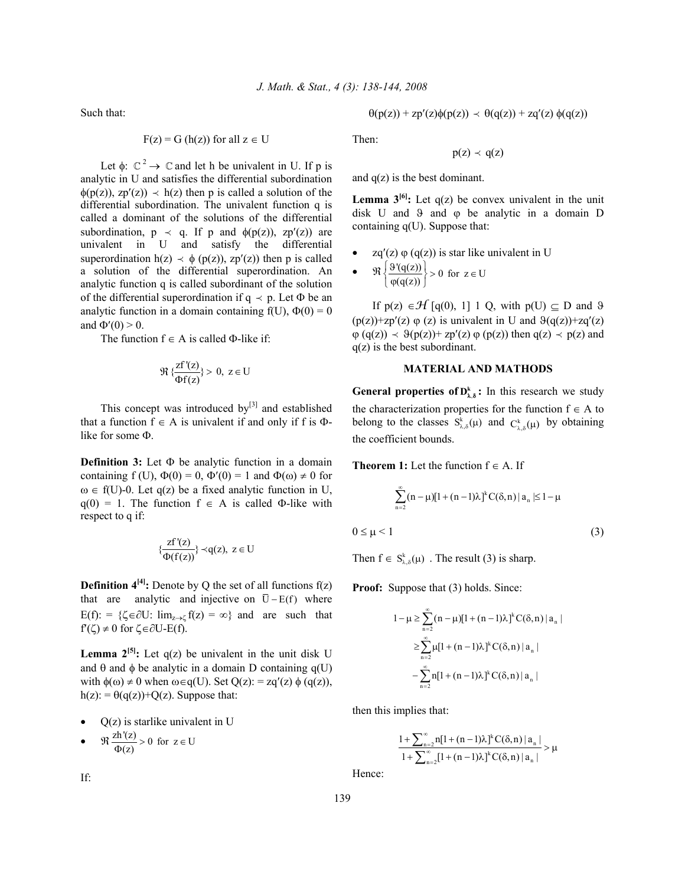Such that:

$$
F(z) = G(h(z))
$$
 for all  $z \in U$ 

Let  $\phi$ :  $\mathbb{C}^2 \rightarrow \mathbb{C}$  and let h be univalent in U. If p is analytic in U and satisfies the differential subordination  $\phi(p(z))$ , zp'(z))  $\prec$  h(z) then p is called a solution of the differential subordination. The univalent function q is called a dominant of the solutions of the differential subordination,  $p \prec q$ . If p and  $\phi(p(z))$ , zp'(z)) are univalent in U and satisfy the differential superordination h(z)  $\prec \phi$  (p(z)), zp'(z)) then p is called a solution of the differential superordination. An analytic function q is called subordinant of the solution of the differential superordination if  $q \prec p$ . Let  $\Phi$  be an analytic function in a domain containing  $f(U)$ ,  $\Phi(0) = 0$ and  $\Phi'(0) > 0$ .

The function  $f \in A$  is called  $\Phi$ -like if:

$$
\Re\,\{\frac{zf'(z)}{\Phi f(z)}\}>0,\;z\in U
$$

This concept was introduced by $[3]$  and established that a function  $f \in A$  is univalent if and only if f is  $\Phi$ like for some Φ.

**Definition 3:** Let Φ be analytic function in a domain containing f (U),  $\Phi(0) = 0$ ,  $\Phi'(0) = 1$  and  $\Phi(\omega) \neq 0$  for  $\omega \in f(U)$ -0. Let q(z) be a fixed analytic function in U,  $q(0) = 1$ . The function  $f \in A$  is called Φ-like with respect to q if:

$$
\{\frac{zf'(z)}{\Phi(f(z))}\}\prec q(z),\ z\in U
$$

**Definition**  $4^{[4]}$ **: Denote by Q the set of all functions**  $f(z)$ that are analytic and injective on  $\overline{U} - E(f)$  where  $E(f)$ : = { $\zeta \in \partial U$ :  $\lim_{z \to c} f(z) = \infty$ } and are such that  $f'(\zeta) \neq 0$  for  $\zeta \in \partial U - E(f)$ .

**Lemma**  $2^{[5]}$ **:** Let  $q(z)$  be univalent in the unit disk U and  $\theta$  and  $\phi$  be analytic in a domain D containing q(U) with  $\phi(\omega) \neq 0$  when  $\omega \in q(U)$ . Set  $Q(z)$ : = zq'(z)  $\phi(q(z))$ ,  $h(z) = \theta(q(z)) + Q(z)$ . Suppose that:

- $Q(z)$  is starlike univalent in U
- $\Re \frac{zh'(z)}{\Phi(z)} > 0$  for  $z \in U$

$$
\theta(p(z)) + zp'(z)\phi(p(z)) \prec \theta(q(z)) + zq'(z)\phi(q(z))
$$

Then:

$$
p(z) \prec q(z)
$$

and  $q(z)$  is the best dominant.

**Lemma**  $3^{[6]}$ **: Let**  $q(z)$  be convex univalent in the unit disk U and  $\theta$  and  $\phi$  be analytic in a domain D containing  $q(U)$ . Suppose that:

- $zq'(z) \varphi(q(z))$  is star like univalent in U
- $\Re\left\{\frac{\vartheta'(q(z))}{\varphi(q(z))}\right\} > 0$  for  $z \in U$  $\left\{\frac{9'(q(z))}{\varphi(q(z))}\right\} > 0$  for  $z \in$

If  $p(z) \in \mathcal{H}$  [q(0), 1] 1 Q, with  $p(U) \subseteq D$  and  $\vartheta$  $(p(z))$ +zp'(z)  $\varphi$  (z) is univalent in U and  $\vartheta(q(z))$ +zq'(z)  $\varphi$  (q(z))  $\prec \vartheta$ (p(z))+ zp'(z)  $\varphi$  (p(z)) then q(z)  $\prec$  p(z) and q(z) is the best subordinant.

# **MATERIAL AND MATHODS**

**General properties of**  $D_{\lambda, \delta}^k$ **: In this research we study** the characterization properties for the function  $f \in A$  to belong to the classes  $S_{\lambda,\delta}^{k}(\mu)$  and  $C_{\lambda,\delta}^{k}(\mu)$  by obtaining the coefficient bounds.

**Theorem 1:** Let the function  $f \in A$ . If

$$
\sum_{n=2}^{\infty} (n - \mu)[1 + (n - 1)\lambda]^k C(\delta, n) | a_n | \le 1 - \mu
$$
  
0 \le \mu < 1 (3)

Then  $f \in S_{\lambda \delta}^{k}(\mu)$ . The result (3) is sharp.

**Proof:** Suppose that (3) holds. Since:

$$
1 - \mu \ge \sum_{n=2}^{\infty} (n - \mu)[1 + (n - 1)\lambda]^k C(\delta, n) | a_n |
$$
  

$$
\ge \sum_{n=2}^{\infty} \mu[1 + (n - 1)\lambda]^k C(\delta, n) | a_n |
$$
  

$$
- \sum_{n=2}^{\infty} n[1 + (n - 1)\lambda]^k C(\delta, n) | a_n |
$$

then this implies that:

$$
\frac{1+\sum_{n=2}^{\infty}n[1+(n-1)\lambda]^kC(\delta,n)\left|\,a_n\,\right|}{1+\sum_{n=2}^{\infty}[1+(n-1)\lambda]^kC(\delta,n)\left|\,a_n\,\right|}>\mu
$$

Hence:

If: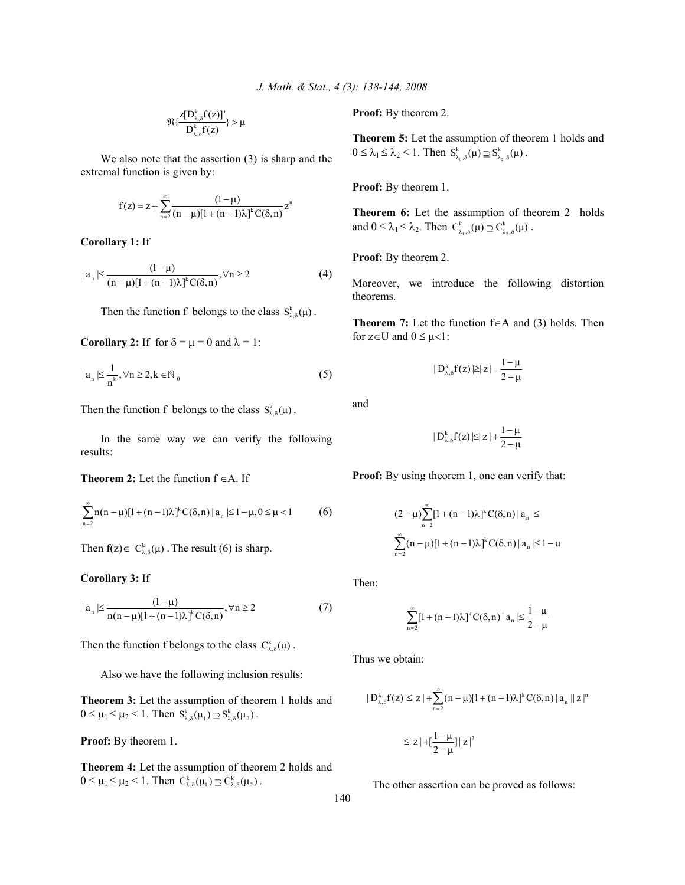$$
\mathfrak{R}\{\frac{z[D_{\lambda,\delta}^k f(z)]'}{D_{\lambda,\delta}^k f(z)}\}>\mu
$$

 We also note that the assertion (3) is sharp and the extremal function is given by:

$$
f(z) = z + \sum_{n=2}^{\infty} \frac{(1-\mu)}{(n-\mu)[1 + (n-1)\lambda]^k C(\delta, n)} z^n
$$

**Corollary 1:** If

$$
|a_n| \leq \frac{(1-\mu)}{(n-\mu)[1+(n-1)\lambda]^k C(\delta, n)}, \forall n \geq 2
$$
 (4)

Then the function f belongs to the class  $S_{\lambda, \delta}^k(\mu)$ .

**Corollary 2:** If for  $\delta = \mu = 0$  and  $\lambda = 1$ :

$$
|a_n| \leq \frac{1}{n^k}, \forall n \geq 2, k \in \mathbb{N}_0
$$
 (5)

Then the function f belongs to the class  $S_{\lambda,\delta}^k(\mu)$ .

 In the same way we can verify the following results:

**Theorem 2:** Let the function f ∈A. If

$$
\sum_{n=2}^{\infty} n(n-\mu)[1+(n-1)\lambda]^k C(\delta,n) | a_n | \leq 1-\mu, 0 \leq \mu < 1
$$
 (6)

Then  $f(z) \in C_{\lambda, \delta}^k(\mu)$ . The result (6) is sharp.

**Corollary 3:** If

$$
|a_n| \le \frac{(1-\mu)}{n(n-\mu)[1+(n-1)\lambda]^k C(\delta, n)}, \forall n \ge 2
$$
 (7)

Then the function f belongs to the class  $C_{\lambda, \delta}^k(\mu)$ .

Also we have the following inclusion results:

**Theorem 3:** Let the assumption of theorem 1 holds and  $0 \leq \mu_1 \leq \mu_2 < 1$ . Then  $S_{\lambda,\delta}^k(\mu_1) \supseteq S_{\lambda,\delta}^k(\mu_2)$ .

**Proof:** By theorem 1.

**Theorem 4:** Let the assumption of theorem 2 holds and  $0 \leq \mu_1 \leq \mu_2 < 1$ . Then  $C_{\lambda,\delta}^k(\mu_1) \supseteq C_{\lambda,\delta}^k(\mu_2)$ .

**Proof:** By theorem 2.

**Theorem 5:** Let the assumption of theorem 1 holds and  $0 \leq \lambda_1 \leq \lambda_2 < 1$ . Then  $S_{\lambda_1, \delta}^k(\mu) \supseteq S_{\lambda_2, \delta}^k(\mu)$ .

**Proof:** By theorem 1.

**Theorem 6:** Let the assumption of theorem 2 holds and  $0 \leq \lambda_1 \leq \lambda_2$ . Then  $C_{\lambda_1, \delta}^k(\mu) \supseteq C_{\lambda_2, \delta}^k(\mu)$ .

**Proof:** By theorem 2.

Moreover, we introduce the following distortion theorems.

**Theorem 7:** Let the function f∈A and (3) holds. Then for  $z \in U$  and  $0 \leq \mu < 1$ :

$$
\mid D_{\lambda,\delta}^k f(z) \, | \! \geq \! \mid \! z \! \mid \! -\! \frac{1\!-\!\mu}{2\!-\!\mu}
$$

and

$$
\mid D_{\lambda,\delta}^k f(z) \!\mid\leq\mid z \mid + \frac{1-\mu}{2-\mu}
$$

**Proof:** By using theorem 1, one can verify that:

$$
(2 - \mu) \sum_{n=2}^{\infty} [1 + (n-1)\lambda]^k C(\delta, n) | a_n | \le
$$
  

$$
\sum_{n=2}^{\infty} (n - \mu) [1 + (n-1)\lambda]^k C(\delta, n) | a_n | \le 1 - \mu
$$

Then:

$$
\sum_{n=2}^{\infty} [1 + (n-1)\lambda]^k C(\delta, n) | a_n | \leq \frac{1-\mu}{2-\mu}
$$

Thus we obtain:

$$
\begin{aligned} \|D_{\lambda,\delta}^k f(z)\|&\leq |z|+\sum_{n=2}^\infty (n-\mu)[1+(n-1)\lambda]^k C(\delta,n)\|a_n\|z\|^n\\ &\leq |z|+[\frac{1-\mu}{2-\mu}]|z|^2 \end{aligned}
$$

The other assertion can be proved as follows: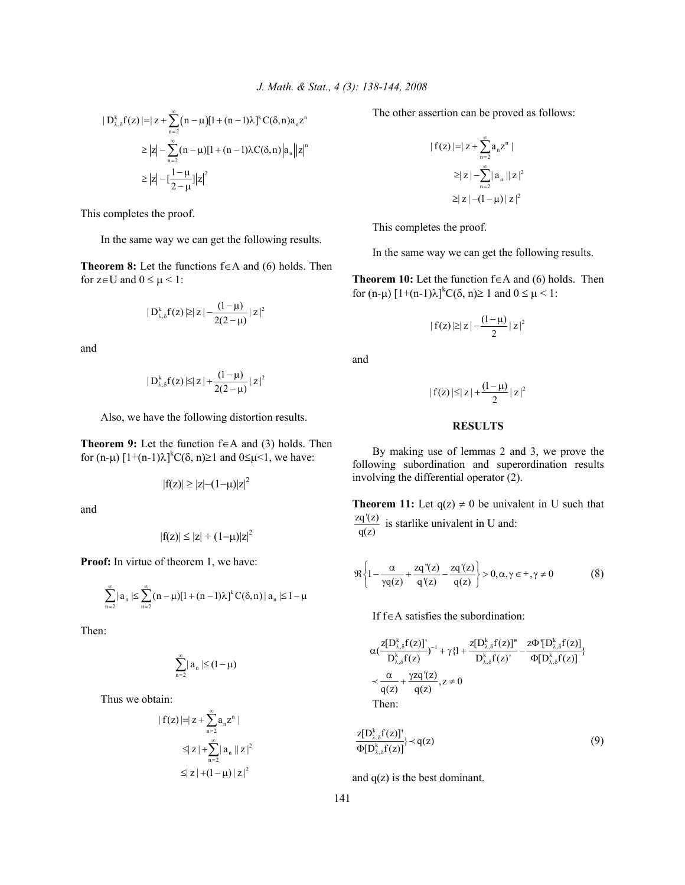$$
|D_{\lambda,\delta}^{k} f(z)| = | z + \sum_{n=2}^{\infty} (n - \mu)[1 + (n - 1)\lambda]^{k} C(\delta, n) a_{n} z^{n}
$$
  
\n
$$
\geq |z| - \sum_{n=2}^{\infty} (n - \mu)[1 + (n - 1)\lambda C(\delta, n) |a_{n}| |z|^{n}
$$
  
\n
$$
\geq |z| - [\frac{1 - \mu}{2 - \mu}] |z|^{2}
$$

This completes the proof.

In the same way we can get the following results.

**Theorem 8:** Let the functions f∈A and (6) holds. Then for  $z \in U$  and  $0 \leq \mu \leq 1$ :

$$
\mid\!D_{\lambda,\delta}^k f(z)\!\mid\!\geq\mid\!z\!\mid\!-\!\frac{(1\!-\!\mu)}{2(2\!-\!\mu)}\!\mid\!z\!\mid^2
$$

and

$$
|D_{\lambda,\delta}^k f(z)| \leq |z| + \frac{(1-\mu)}{2(2-\mu)} |z|^2
$$

Also, we have the following distortion results.

**Theorem 9:** Let the function f∈A and (3) holds. Then for  $(n-\mu)$   $[1+(n-1)\lambda]^k C(\delta, n) \ge 1$  and  $0 \le \mu < 1$ , we have:

$$
|f(z)| \ge |z| - (1 - \mu)|z|^2
$$

and

$$
|f(z)| \le |z| + (1-\mu)|z|^2
$$

Proof: In virtue of theorem 1, we have:

$$
\sum_{n=2}^{\infty} \mid a_n \mid \leq \sum_{n=2}^{\infty} (n-\mu)[1+(n-1)\lambda ]^k \, C(\delta,n) \mid a_n \mid \leq 1-\mu
$$

Then:

$$
\sum_{n=2}^\infty \mid a_n \mid \leq (1-\mu)
$$

Thus we obtain:

$$
| f(z) | = | z + \sum_{n=2}^{\infty} a_n z^n |
$$
  
\n
$$
\leq | z | + \sum_{n=2}^{\infty} | a_n | | z |^2
$$
  
\n
$$
\leq | z | + (1 - \mu) | z |^2
$$

The other assertion can be proved as follows:

$$
| f(z) | = | z + \sum_{n=2}^{\infty} a_n z^n |
$$
  
\n
$$
\geq |z| - \sum_{n=2}^{\infty} |a_n| |z|^2
$$
  
\n
$$
\geq |z| - (1 - \mu) |z|^2
$$

This completes the proof.

In the same way we can get the following results.

**Theorem 10:** Let the function f∈A and (6) holds. Then for  $(n-\mu)$   $[1+(n-1)\lambda]^{k}C(\delta, n) \ge 1$  and  $0 \le \mu < 1$ :

$$
\mid f(z)\mathbin{\vartriangleright} |z| - \frac{(1-\mu)}{2} \mathbin{\vert} z\mathbin{\vert}^2
$$

and

$$
\mid f(z)\!\mid\!\leq\mid\!z\!\mid\!+\!\frac{(l\!-\!\mu)}{2}\!\mid\!z\!\mid^2
$$

## **RESULTS**

 By making use of lemmas 2 and 3, we prove the following subordination and superordination results involving the differential operator (2).

**Theorem 11:** Let  $q(z) \neq 0$  be univalent in U such that zq'(z)  $\frac{dq(z)}{q(z)}$  is starlike univalent in U and:

$$
\Re\left\{1-\frac{\alpha}{\gamma q(z)}+\frac{zq''(z)}{q'(z)}-\frac{zq'(z)}{q(z)}\right\}>0,\alpha,\gamma\in^{\div},\gamma\neq 0
$$
\n(8)

If f∈A satisfies the subordination:

$$
\alpha \left( \frac{z[D_{\lambda,\delta}^k f(z)]'}{D_{\lambda,\delta}^k f(z)} \right)^{-1} + \gamma \left\{ 1 + \frac{z[D_{\lambda,\delta}^k f(z)]''}{D_{\lambda,\delta}^k f(z)} - \frac{z\Phi'[D_{\lambda,\delta}^k f(z)]}{\Phi[D_{\lambda,\delta}^k f(z)]} \right\}
$$
  

$$
\prec \frac{\alpha}{q(z)} + \frac{\gamma z q'(z)}{q(z)}, z \neq 0
$$
  
Then:

$$
\frac{z[D_{\lambda,\delta}^k f(z)]'}{\Phi[D_{\lambda,\delta}^k f(z)]}\n\prec q(z)
$$
\n(9)

and  $q(z)$  is the best dominant.

141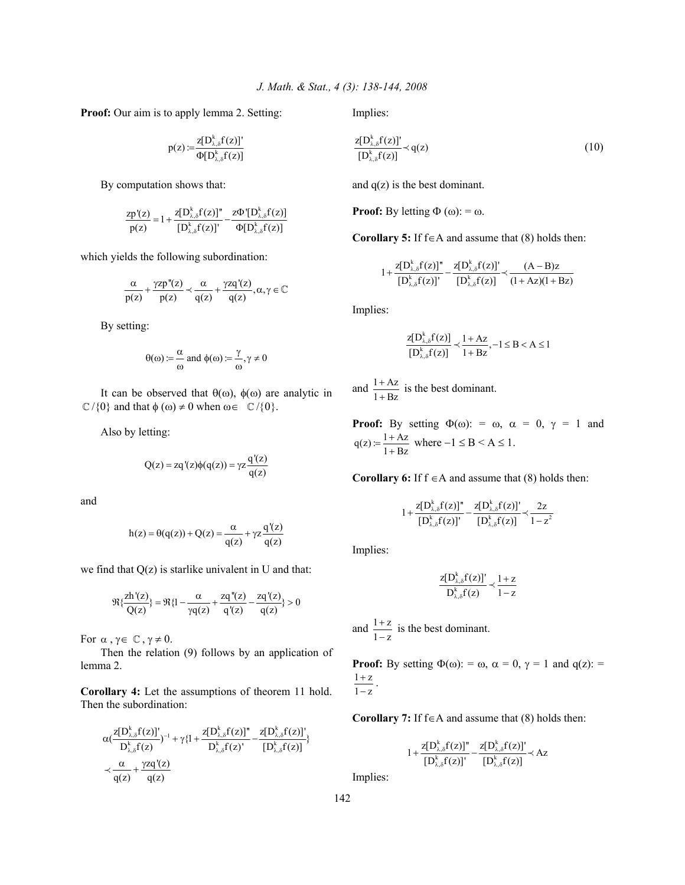**Proof:** Our aim is to apply lemma 2. Setting:

$$
p(z) := \frac{z[D_{\lambda,\delta}^k f(z)]'}{\Phi[D_{\lambda,\delta}^k f(z)]}
$$

By computation shows that:

$$
\frac{zp'(z)}{p(z)} = 1 + \frac{z[D_{\lambda,\delta}^k f(z)]^n}{[D_{\lambda,\delta}^k f(z)]^r} - \frac{z\Phi'[D_{\lambda,\delta}^k f(z)]}{\Phi[D_{\lambda,\delta}^k f(z)]}
$$

which yields the following subordination:

$$
\frac{\alpha}{p(z)} + \frac{\gamma z p''(z)}{p(z)} \prec \frac{\alpha}{q(z)} + \frac{\gamma z q'(z)}{q(z)}, \alpha, \gamma \in \mathbb{C}
$$

By setting:

$$
\theta(\omega) := \frac{\alpha}{\omega}
$$
 and  $\phi(\omega) := \frac{\gamma}{\omega}, \gamma \neq 0$ 

It can be observed that  $θ(ω)$ ,  $φ(ω)$  are analytic in  $\mathbb{C} / \{0\}$  and that  $\phi (\omega) \neq 0$  when  $\omega \in \mathbb{C} / \{0\}.$ 

Also by letting:

$$
Q(z) = zq'(z)\phi(q(z)) = \gamma z \frac{q'(z)}{q(z)}
$$

and

$$
h(z) = \theta(q(z)) + Q(z) = \frac{\alpha}{q(z)} + \gamma z \frac{q'(z)}{q(z)}
$$

we find that  $Q(z)$  is starlike univalent in U and that:

$$
\Re{\frac{zh'(z)}{Q(z)}} = \Re{1 - \frac{\alpha}{\gamma q(z)} + \frac{zq''(z)}{q'(z)} - \frac{zq'(z)}{q(z)}} > 0
$$

For  $\alpha$ ,  $\gamma \in \mathbb{C}$ ,  $\gamma \neq 0$ .

 Then the relation (9) follows by an application of lemma 2.

**Corollary 4:** Let the assumptions of theorem 11 hold. Then the subordination:

$$
\begin{aligned} &\alpha(\frac{z[D_{\lambda,\delta}^k f(z)]'}{D_{\lambda,\delta}^k f(z)})^{-1} + \gamma\{1+\frac{z[D_{\lambda,\delta}^k f(z)]''}{D_{\lambda,\delta}^k f(z)} - \frac{z[D_{\lambda,\delta}^k f(z)]'}{[D_{\lambda,\delta}^k f(z)]}\} \\ &\prec \frac{\alpha}{q(z)} + \frac{\gamma z q'(z)}{q(z)} \end{aligned}
$$

Implies:

$$
\frac{z[D_{\lambda,\delta}^k f(z)]'}{[D_{\lambda,\delta}^k f(z)]} \prec q(z)
$$
\n(10)

and  $q(z)$  is the best dominant.

**Proof:** By letting  $\Phi(\omega)$ : =  $\omega$ .

**Corollary 5:** If f∈A and assume that (8) holds then:

$$
1 + \frac{z[D_{\lambda,\delta}^k f(z)]^{\prime \prime}}{[D_{\lambda,\delta}^k f(z)]^{\prime}} - \frac{z[D_{\lambda,\delta}^k f(z)]^{\prime}}{[D_{\lambda,\delta}^k f(z)]} \prec \frac{(A - B)z}{(1 + Az)(1 + Bz)}
$$

Implies:

$$
\frac{z[D_{\lambda,\delta}^k f(z)]}{[D_{\lambda,\delta}^k f(z)]} \prec \frac{1+Az}{1+Bz}, -1 \le B < A \le 1
$$

and  $\frac{1+Az}{1+Bz}$ +  $\frac{+Az}{+Bz}$  is the best dominant.

**Proof:** By setting  $\Phi(\omega)$ : =  $\omega$ ,  $\alpha$  = 0,  $\gamma$  = 1 and  $q(z) = \frac{1 + Az}{1 + Bz}$  where  $-1 \le B \le A \le 1$ .

**Corollary 6:** If  $f \in A$  and assume that (8) holds then:

$$
1 + \frac{z[D_{\lambda,\delta}^kf(z)]^{\prime \prime}}{[D_{\lambda,\delta}^kf(z)]^{\prime}} - \frac{z[D_{\lambda,\delta}^kf(z)]^{\prime}}{[D_{\lambda,\delta}^kf(z)]} \prec \frac{2z}{1-z^2}
$$

Implies:

$$
\frac{z[D_{\lambda,\delta}^k f(z)]'}{D_{\lambda,\delta}^k f(z)} \!\prec\! \frac{1+z}{1-z}
$$

and  $\frac{1+z}{1-z}$  $\frac{+z}{-z}$  is the best dominant.

**Proof:** By setting  $\Phi(\omega)$ : =  $\omega$ ,  $\alpha$  = 0,  $\gamma$  = 1 and q(z): =  $1 + z$  $1 - z$  $\frac{+z}{-z}$ .

**Corollary 7:** If f∈A and assume that (8) holds then:

$$
1 + \frac{z[D_{\lambda,\delta}^k f(z)]^{\prime \prime}}{[D_{\lambda,\delta}^k f(z)]^{\prime}} - \frac{z[D_{\lambda,\delta}^k f(z)]^{\prime}}{[D_{\lambda,\delta}^k f(z)]^{\prime}} \prec Az
$$

Implies:

142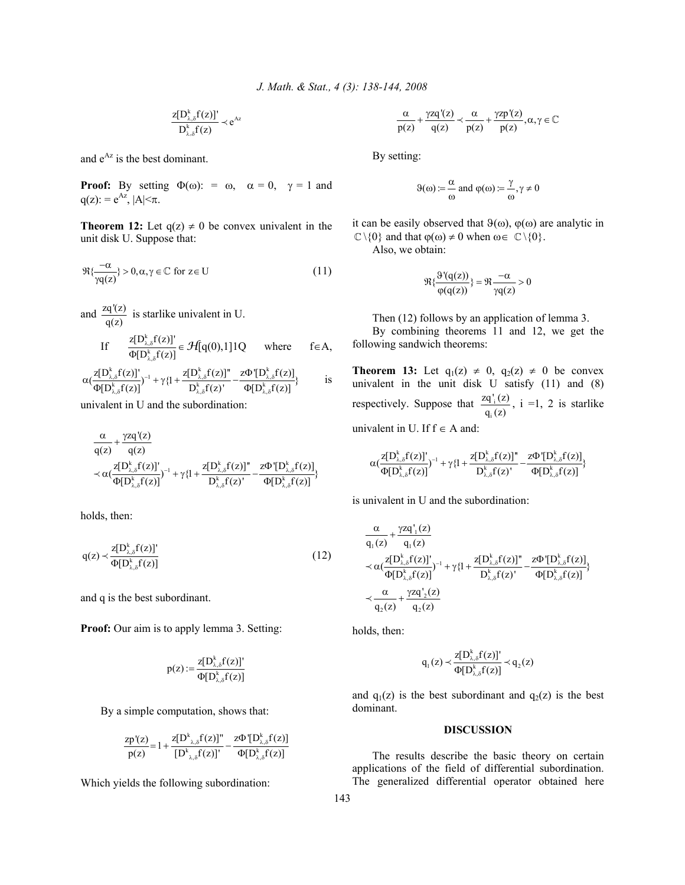$$
\frac{z[D_{\lambda,\delta}^kf(z)]'}{D_{\lambda,\delta}^kf(z)}\prec e^{Az}
$$

and  $e^{Az}$  is the best dominant.

**Proof:** By setting  $\Phi(\omega)$ : =  $\omega$ ,  $\alpha = 0$ ,  $\gamma = 1$  and  $q(z)$ : =  $e^{Az}$ , |A| $\leq \pi$ .

**Theorem 12:** Let  $q(z) \neq 0$  be convex univalent in the unit disk U. Suppose that:

$$
\Re{\frac{-\alpha}{\gamma q(z)}} > 0, \alpha, \gamma \in \mathbb{C} \text{ for } z \in U
$$
 (11)

and  $\frac{zq'(z)}{q(z)}$  is starlike univalent in U. If k , k ,  $z[D_{\lambda \delta}^k f(z)]$  $[D_{\lambda \delta}^k f(z)]$ λ δ  $\frac{\mathcal{L}\left\{D_{\lambda,\delta}^{k}(z)\right\}}{\Phi[D_{\lambda,\delta}^{k}(z)]} \in \mathcal{H}[q(0),1]1Q$  where  $f \in A$ ,

$$
\alpha(\frac{z[D_{\lambda,\delta}^kf(z)]'}{\Phi[D_{\lambda,\delta}^kf(z)]})^{-1} + \gamma\{l+\frac{z[D_{\lambda,\delta}^kf(z)]'}{D_{\lambda,\delta}^kf(z)} - \frac{z\Phi'[D_{\lambda,\delta}^kf(z)]}{\Phi[D_{\lambda,\delta}^kf(z)]}\} \qquad \quad \ \text{is}
$$

univalent in U and the subordination:

$$
\begin{aligned}&\frac{\alpha}{q(z)}+\frac{\gamma zq'(z)}{q(z)} \\ &\prec \alpha(\frac{z[D_{\lambda,\delta}^k f(z)]'}{\Phi[D_{\lambda,\delta}^k f(z)]})^{-1}+\gamma\{1+\frac{z[D_{\lambda,\delta}^k f(z)]''}{D_{\lambda,\delta}^k f(z)^{\prime}}-\frac{z\Phi'[D_{\lambda,\delta}^k f(z)]}{\Phi[D_{\lambda,\delta}^k f(z)]}\}\end{aligned}
$$

holds, then:

$$
q(z) \prec \frac{z[D_{\lambda,\delta}^k f(z)]'}{\Phi[D_{\lambda,\delta}^k f(z)]}
$$
\n(12)

and q is the best subordinant.

**Proof:** Our aim is to apply lemma 3. Setting:

$$
p(z) := \frac{z[D_{\lambda,\delta}^k f(z)]'}{\Phi[D_{\lambda,\delta}^k f(z)]}
$$

By a simple computation, shows that:

$$
\frac{zp'(z)}{p(z)}\!=\!1\!+\!\frac{z[D_{\lambda,\delta}^k f(z)]^{\prime\prime}}{[D_{\lambda,\delta}^k f(z)]^{\prime}}\!-\!\frac{z\Phi'[D_{\lambda,\delta}^k f(z)]}{\Phi[D_{\lambda,\delta}^k f(z)]}
$$

Which yields the following subordination:

$$
\frac{\alpha}{p(z)} + \frac{\gamma z q'(z)}{q(z)} \prec \frac{\alpha}{p(z)} + \frac{\gamma z p'(z)}{p(z)}, \alpha, \gamma \in \mathbb{C}
$$

By setting:

$$
\Theta(\omega) := \frac{\alpha}{\omega} \text{ and } \phi(\omega) := \frac{\gamma}{\omega}, \gamma \neq 0
$$

it can be easily observed that  $\theta(\omega)$ ,  $\varphi(\omega)$  are analytic in  $\mathbb{C} \setminus \{0\}$  and that  $\varphi(\omega) \neq 0$  when  $\omega \in \mathbb{C} \setminus \{0\}.$ 

Also, we obtain:

$$
\Re{\frac{\vartheta'(q(z))}{\varphi(q(z))}} = \Re{\frac{-\alpha}{\gamma q(z)}} > 0
$$

Then (12) follows by an application of lemma 3.

 By combining theorems 11 and 12, we get the following sandwich theorems:

**Theorem 13:** Let  $q_1(z) \neq 0$ ,  $q_2(z) \neq 0$  be convex univalent in the unit disk U satisfy (11) and (8) respectively. Suppose that  $\frac{2q_i}{q_i}$ i  $\frac{zq'_{i}(z)}{q_{i}(z)}$ , i =1, 2 is starlike univalent in U. If  $f \in A$  and:

$$
\alpha(\frac{z[D_{\lambda,\delta}^kf(z)]'}{\Phi[D_{\lambda,\delta}^kf(z)]})^{-1} + \gamma\{1+\frac{z[D_{\lambda,\delta}^kf(z)]''}{D_{\lambda,\delta}^kf(z)}-\frac{z\Phi'[D_{\lambda,\delta}^kf(z)]}{\Phi[D_{\lambda,\delta}^kf(z)]}\}
$$

is univalent in U and the subordination:

$$
\begin{aligned}&\frac{\alpha}{q_1(z)}+\frac{\gamma z q_{\bot}^{\prime}(z)}{q_1(z)} \\&\prec \alpha(\frac{z[D_{\lambda,\delta}^k f(z)]'}{\Phi[D_{\lambda,\delta}^k f(z)]})^{-1}+\gamma\{1+\frac{z[D_{\lambda,\delta}^k f(z)]^{ \prime \prime}}{D_{\lambda,\delta}^k f(z)}-\frac{z\Phi'[D_{\lambda,\delta}^k f(z)]}{\Phi[D_{\lambda,\delta}^k f(z)]}\}\\&\prec \frac{\alpha}{q_2(z)}+\frac{\gamma z q_{\bot}^{\prime}(z)}{q_2(z)}\end{aligned}
$$

holds, then:

$$
q_1(z) \prec \frac{z[D_{\lambda,\delta}^k f(z)]'}{\Phi[D_{\lambda,\delta}^k f(z)]} \prec q_2(z)
$$

and  $q_1(z)$  is the best subordinant and  $q_2(z)$  is the best dominant.

# **DISCUSSION**

 The results describe the basic theory on certain applications of the field of differential subordination. The generalized differential operator obtained here